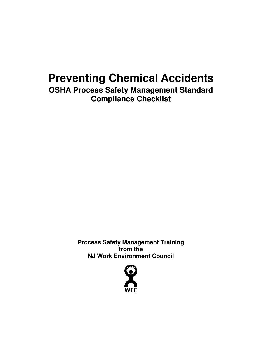## **Preventing Chemical Accidents**

**OSHA Process Safety Management Standard Compliance Checklist** 

> **Process Safety Management Training from the NJ Work Environment Council**

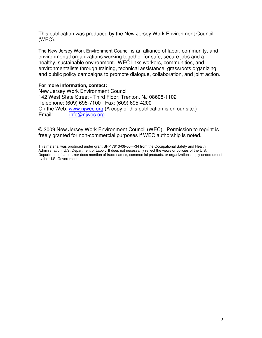This publication was produced by the New Jersey Work Environment Council (WEC).

The New Jersey Work Environment Council is an alliance of labor, community, and environmental organizations working together for safe, secure jobs and a healthy, sustainable environment. WEC links workers, communities, and environmentalists through training, technical assistance, grassroots organizing, and public policy campaigns to promote dialogue, collaboration, and joint action.

## **For more information, contact:**

New Jersey Work Environment Council 142 West State Street - Third Floor; Trenton, NJ 08608-1102 Telephone: (609) 695-7100 Fax: (609) 695-4200 On the Web: www.njwec.org (A copy of this publication is on our site.) Email: info@njwec.org

© 2009 New Jersey Work Environment Council (WEC). Permission to reprint is freely granted for non-commercial purposes if WEC authorship is noted.

This material was produced under grant SH-17813-08-60-F-34 from the Occupational Safety and Health Administration, U.S. Department of Labor. It does not necessarily reflect the views or policies of the U.S. Department of Labor, nor does mention of trade names, commercial products, or organizations imply endorsement by the U.S. Government.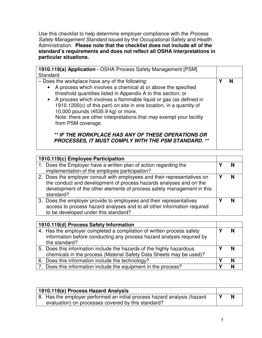Use this checklist to help determine employer compliance with the Process Safety Management Standard issued by the Occupational Safety and Health Administration. **Please note that the checklist does not include all of the standard's requirements and does not reflect all OSHA interpretations in particular situations.**

| 1910.119(a) Application - OSHA Process Safety Management [PSM]<br>Standard                                                                                                                                                                                                                                                                                                                                                                                            |  |
|-----------------------------------------------------------------------------------------------------------------------------------------------------------------------------------------------------------------------------------------------------------------------------------------------------------------------------------------------------------------------------------------------------------------------------------------------------------------------|--|
| - Does the workplace have any of the following:<br>• A process which involves a chemical at or above the specified<br>threshold quantities listed in Appendix A to this section; or<br>• A process which involves a flammable liquid or gas (as defined in<br>1910.1200(c) of this part) on site in one location, in a quantity of<br>10,000 pounds (4535.9 kg) or more.<br>Note: there are other interpretations that may exempt your facility<br>from PSM coverage. |  |
| ** IF THE WORKPLACE HAS ANY OF THESE OPERATIONS OR<br>PROCESSES, IT MUST COMPLY WITH THE PSM STANDARD.                                                                                                                                                                                                                                                                                                                                                                |  |

| 1910.119(c) Employee Participation                                                                                                                                                                                                    |  |
|---------------------------------------------------------------------------------------------------------------------------------------------------------------------------------------------------------------------------------------|--|
| 1. Does the Employer have a written plan of action regarding the<br>implementation of the employee participation?                                                                                                                     |  |
| 2. Does the employer consult with employees and their representatives on<br>the conduct and development of process hazards analyses and on the<br>development of the other elements of process safety management in this<br>standard? |  |
| 3. Does the employer provide to employees and their representatives<br>access to process hazard analyses and to all other information required<br>to be developed under this standard?                                                |  |

| 1910.119(d) Process Safety Information                                                                                                                          |  |
|-----------------------------------------------------------------------------------------------------------------------------------------------------------------|--|
| 4. Has the employer completed a compilation of written process safety<br>information before conducting any process hazard analysis required by<br>the standard? |  |
| 5. Does this information include the hazards of the highly hazardous<br>chemicals in the process (Material Safety Data Sheets may be used)?                     |  |
| 6. Does this information include the technology?                                                                                                                |  |
| 7. Does this information include the equipment in the process?                                                                                                  |  |

| 1910.119(e) Process Hazard Analysis                                      |  |
|--------------------------------------------------------------------------|--|
| 8. Has the employer performed an initial process hazard analysis (hazard |  |
| evaluation) on processes covered by this standard?                       |  |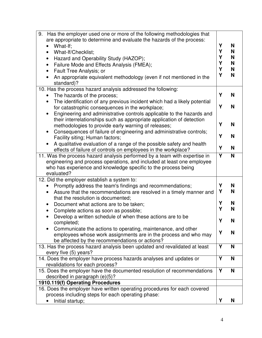| 9.<br>Has the employer used one or more of the following methodologies that<br>are appropriate to determine and evaluate the hazards of the process:<br>What-If;<br>What-If/Checklist;<br>٠<br>Hazard and Operability Study (HAZOP);<br>$\bullet$<br>Failure Mode and Effects Analysis (FMEA);<br>$\bullet$<br>Fault Tree Analysis; or<br>$\bullet$<br>An appropriate equivalent methodology (even if not mentioned in the<br>standard)? | Y<br>Y | Y<br>Y<br>Υ<br>Y | N<br>N<br>N<br>N<br>N<br>N |
|------------------------------------------------------------------------------------------------------------------------------------------------------------------------------------------------------------------------------------------------------------------------------------------------------------------------------------------------------------------------------------------------------------------------------------------|--------|------------------|----------------------------|
| 10. Has the process hazard analysis addressed the following:                                                                                                                                                                                                                                                                                                                                                                             | Υ      |                  | N                          |
| The hazards of the process;<br>The identification of any previous incident which had a likely potential<br>$\bullet$                                                                                                                                                                                                                                                                                                                     |        |                  |                            |
| for catastrophic consequences in the workplace;                                                                                                                                                                                                                                                                                                                                                                                          |        | Y                | N                          |
| Engineering and administrative controls applicable to the hazards and<br>$\bullet$                                                                                                                                                                                                                                                                                                                                                       |        |                  |                            |
| their interrelationships such as appropriate application of detection<br>methodologies to provide early warning of releases;                                                                                                                                                                                                                                                                                                             |        | Y                | N                          |
| Consequences of failure of engineering and administrative controls;<br>$\bullet$                                                                                                                                                                                                                                                                                                                                                         |        |                  |                            |
| Facility siting; Human factors;                                                                                                                                                                                                                                                                                                                                                                                                          |        | Y                | N                          |
| A qualitative evaluation of a range of the possible safety and health                                                                                                                                                                                                                                                                                                                                                                    |        | Y                | N                          |
| effects of failure of controls on employees in the workplace?<br>11. Was the process hazard analysis performed by a team with expertise in                                                                                                                                                                                                                                                                                               | Y      |                  | N                          |
| engineering and process operations, and included at least one employee<br>who has experience and knowledge specific to the process being<br>evaluated?                                                                                                                                                                                                                                                                                   |        |                  |                            |
| 12. Did the employer establish a system to:                                                                                                                                                                                                                                                                                                                                                                                              |        |                  |                            |
| Promptly address the team's findings and recommendations;<br>$\bullet$                                                                                                                                                                                                                                                                                                                                                                   | Y      | Υ                | N<br>N                     |
| Assure that the recommendations are resolved in a timely manner and<br>that the resolution is documented;                                                                                                                                                                                                                                                                                                                                |        |                  |                            |
| Document what actions are to be taken;<br>$\bullet$                                                                                                                                                                                                                                                                                                                                                                                      | Υ      |                  | N                          |
| Complete actions as soon as possible;<br>$\bullet$                                                                                                                                                                                                                                                                                                                                                                                       | Υ      |                  | N                          |
| Develop a written schedule of when these actions are to be<br>completed;                                                                                                                                                                                                                                                                                                                                                                 | Υ      |                  | N                          |
| Communicate the actions to operating, maintenance, and other                                                                                                                                                                                                                                                                                                                                                                             | Y      |                  | N                          |
| employees whose work assignments are in the process and who may                                                                                                                                                                                                                                                                                                                                                                          |        |                  |                            |
| be affected by the recommendations or actions?<br>13. Has the process hazard analysis been updated and revalidated at least                                                                                                                                                                                                                                                                                                              | Y      |                  | N                          |
| every five (5) years?                                                                                                                                                                                                                                                                                                                                                                                                                    |        |                  |                            |
| 14. Does the employer have process hazards analyses and updates or                                                                                                                                                                                                                                                                                                                                                                       | Y      |                  | N                          |
| revalidations for each process?                                                                                                                                                                                                                                                                                                                                                                                                          |        |                  |                            |
| 15. Does the employer have the documented resolution of recommendations<br>described in paragraph (e)(5)?                                                                                                                                                                                                                                                                                                                                |        | Y                | N                          |
| 1910.119(f) Operating Procedures                                                                                                                                                                                                                                                                                                                                                                                                         |        |                  |                            |
| 16. Does the employer have written operating procedures for each covered                                                                                                                                                                                                                                                                                                                                                                 |        |                  |                            |
| process including steps for each operating phase:                                                                                                                                                                                                                                                                                                                                                                                        |        |                  |                            |
| Initial startup;                                                                                                                                                                                                                                                                                                                                                                                                                         |        | Y                | N                          |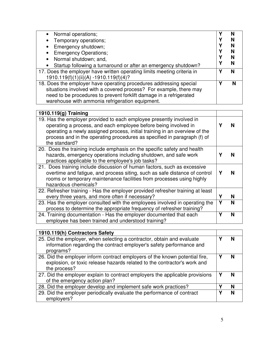| • Normal operations;                                                        |   |
|-----------------------------------------------------------------------------|---|
|                                                                             |   |
| Temporary operations;                                                       |   |
| Emergency shutdown;                                                         |   |
| <b>Emergency Operations;</b>                                                |   |
| Normal shutdown; and,<br>$\bullet$                                          |   |
| Startup following a turnaround or after an emergency shutdown?<br>$\bullet$ |   |
| 17. Does the employer have written operating limits meeting criteria in     |   |
| 1910.119(f)(1)(ii)(A) -1910.119(f)(4)?                                      |   |
| 18. Does the employer have operating procedures addressing special          | N |
| situations involved with a covered process? For example, there may          |   |
| need to be procedures to prevent forklift damage in a refrigerated          |   |
| warehouse with ammonia refrigeration equipment.                             |   |

| 1910.119(g) Training                                                                                                                                                                                                                                                                                               |   |   |
|--------------------------------------------------------------------------------------------------------------------------------------------------------------------------------------------------------------------------------------------------------------------------------------------------------------------|---|---|
| 19. Has the employer provided to each employee presently involved in<br>operating a process, and each employee before being involved in<br>operating a newly assigned process, initial training in an overview of the<br>process and in the operating procedures as specified in paragraph (f) of<br>the standard? |   |   |
| 20. Does the training include emphasis on the specific safety and health<br>hazards, emergency operations including shutdown, and safe work<br>practices applicable to the employee's job tasks?                                                                                                                   |   |   |
| 21. Does training include discussion of human factors, such as excessive<br>overtime and fatigue, and process siting, such as safe distance of control<br>rooms or temporary maintenance facilities from processes using highly<br>hazardous chemicals?                                                            |   |   |
| 22. Refresher training - Has the employer provided refresher training at least<br>every three years, and more often if necessary?                                                                                                                                                                                  | γ | N |
| 23. Has the employer consulted with the employees involved in operating the<br>process to determine the appropriate frequency of refresher training?                                                                                                                                                               | Υ | N |
| 24. Training documentation - Has the employer documented that each<br>employee has been trained and understood training?                                                                                                                                                                                           |   | N |

| 1910.119(h) Contractors Safety                                                                                                                                          |   |
|-------------------------------------------------------------------------------------------------------------------------------------------------------------------------|---|
| 25. Did the employer, when selecting a contractor, obtain and evaluate<br>information regarding the contract employer's safety performance and<br>programs?             | N |
| 26. Did the employer inform contract employers of the known potential fire,<br>explosion, or toxic release hazards related to the contractor's work and<br>the process? |   |
| 27. Did the employer explain to contract employers the applicable provisions<br>of the emergency action plan?                                                           |   |
| 28. Did the employer develop and implement safe work practices?                                                                                                         | N |
| 29. Did the employer periodically evaluate the performance of contract<br>employers?                                                                                    | N |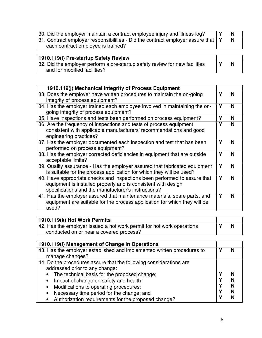| 30. Did the employer maintain a contract employee injury and illness log?                   |  |
|---------------------------------------------------------------------------------------------|--|
| 31. Contract employer responsibilities - Did the contract employer assure that $\mathsf{Y}$ |  |
| each contract employee is trained?                                                          |  |

| 1910.119(i) Pre-startup Safety Review                                       |  |
|-----------------------------------------------------------------------------|--|
| 32. Did the employer perform a pre-startup safety review for new facilities |  |
| and for modified facilities?                                                |  |

| 1910.119(j) Mechanical Integrity of Process Equipment                                                                                                                                             |   |   |
|---------------------------------------------------------------------------------------------------------------------------------------------------------------------------------------------------|---|---|
| 33. Does the employer have written procedures to maintain the on-going<br>integrity of process equipment?                                                                                         | Υ | N |
| 34. Has the employer trained each employee involved in maintaining the on-<br>going integrity of process equipment?                                                                               | Υ | N |
| 35. Have inspections and tests been performed on process equipment?                                                                                                                               | Υ | N |
| 36. Are the frequency of inspections and tests of process equipment<br>consistent with applicable manufacturers' recommendations and good<br>engineering practices?                               | Υ | N |
| 37. Has the employer documented each inspection and test that has been<br>performed on process equipment?                                                                                         | Υ | N |
| 38. Has the employer corrected deficiencies in equipment that are outside<br>acceptable limits?                                                                                                   | Υ | N |
| 39. Quality assurance - Has the employer assured that fabricated equipment<br>is suitable for the process application for which they will be used?                                                | Υ | N |
| 40. Have appropriate checks and inspections been performed to assure that<br>equipment is installed properly and is consistent with design<br>specifications and the manufacturer's instructions? | Υ | N |
| 41. Has the employer assured that maintenance materials, spare parts, and<br>equipment are suitable for the process application for which they will be<br>used?                                   | Υ | N |

| 1910.119(k) Hot Work Permits                                          |  |
|-----------------------------------------------------------------------|--|
| 42. Has the employer issued a hot work permit for hot work operations |  |
| conducted on or near a covered process?                               |  |

| 1910.119(I) Management of Change in Operations                         |  |
|------------------------------------------------------------------------|--|
| 43. Has the employer established and implemented written procedures to |  |
| manage changes?                                                        |  |
| 44. Do the procedures assure that the following considerations are     |  |
| addressed prior to any change:                                         |  |
| The technical basis for the proposed change;<br>$\bullet$              |  |
| Impact of change on safety and health;<br>$\bullet$                    |  |
| Modifications to operating procedures;<br>$\bullet$                    |  |
| Necessary time period for the change; and<br>$\bullet$                 |  |
| Authorization requirements for the proposed change?                    |  |